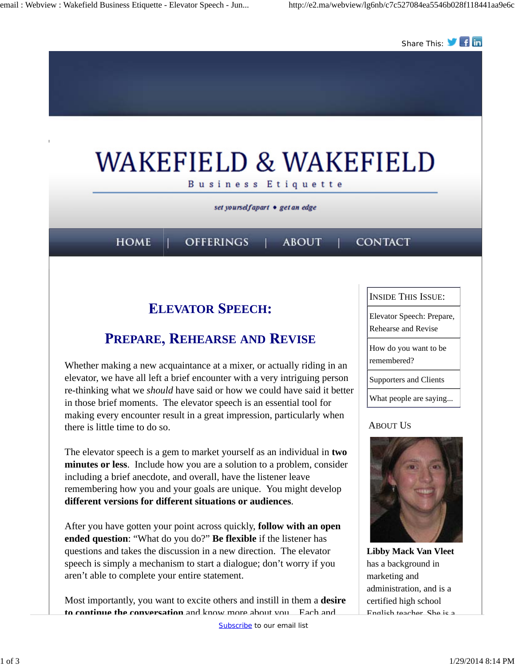

Whether making a new acquaintance at a mixer, or actually riding in an elevator, we have all left a brief encounter with a very intriguing person re-thinking what we *should* have said or how we could have said it better in those brief moments. The elevator speech is an essential tool for making every encounter result in a great impression, particularly when there is little time to do so.

The elevator speech is a gem to market yourself as an individual in **two minutes or less**. Include how you are a solution to a problem, consider including a brief anecdote, and overall, have the listener leave remembering how you and your goals are unique. You might develop **different versions for different situations or audiences**.

After you have gotten your point across quickly, **follow with an open ended question**: "What do you do?" **Be flexible** if the listener has questions and takes the discussion in a new direction. The elevator speech is simply a mechanism to start a dialogue; don't worry if you aren't able to complete your entire statement.

Most importantly, you want to excite others and instill in them a **desire to continue the conversation** and know more about you. Each and

Supporters and Clients

What people are saying...

### ABOUT US



**Libby Mack Van Vleet** has a background in marketing and administration, and is a certified high school English teacher. She is a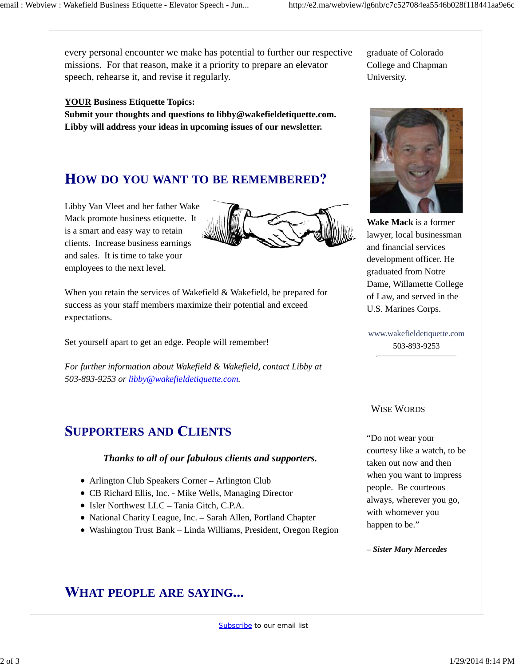every personal encounter we make has potential to further our respective missions. For that reason, make it a priority to prepare an elevator speech, rehearse it, and revise it regularly.

### **YOUR Business Etiquette Topics:**

**Submit your thoughts and questions to libby@wakefieldetiquette.com. Libby will address your ideas in upcoming issues of our newsletter.**

# **OW DO YOU WANT TO BE REMEMBERED**

Libby Van Vleet and her father Wake Mack promote business etiquette. It is a smart and easy way to retain clients. Increase business earnings and sales. It is time to take your employees to the next level.



When you retain the services of Wakefield & Wakefield, be prepared for success as your staff members maximize their potential and exceed expectations.

Set yourself apart to get an edge. People will remember!

*For further information about Wakefield & Wakefield, contact Libby at 503-893-9253 or libby@wakefieldetiquette.com.*

## **UPPORTERS AND LIENTS**

#### *Thanks to all of our fabulous clients and supporters.*

- Arlington Club Speakers Corner Arlington Club
- CB Richard Ellis, Inc. Mike Wells, Managing Director
- Isler Northwest LLC Tania Gitch, C.P.A.
- National Charity League, Inc. Sarah Allen, Portland Chapter
- Washington Trust Bank Linda Williams, President, Oregon Region

## **HAT PEOPLE ARE SAYING**

graduate of Colorado College and Chapman University.



**Wake Mack** is a former lawyer, local businessman and financial services development officer. He graduated from Notre Dame, Willamette College of Law, and served in the U.S. Marines Corps.

www.wakefieldetiquette.com 503-893-9253

#### WISE WORDS

"Do not wear your courtesy like a watch, to be taken out now and then when you want to impress people. Be courteous always, wherever you go, with whomever you happen to be."

*– Sister Mary Mercedes*